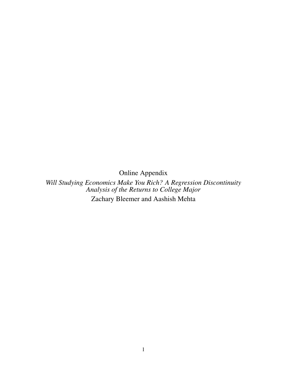Online Appendix

*Will Studying Economics Make You Rich? A Regression Discontinuity Analysis of the Returns to College Major* Zachary Bleemer and Aashish Mehta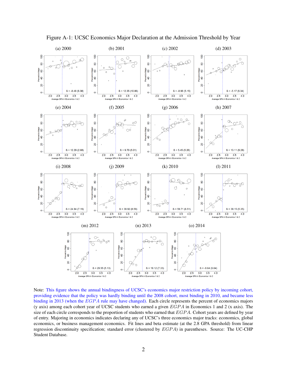<span id="page-1-0"></span>

Figure A-1: UCSC Economics Major Declaration at the Admission Threshold by Year

Note: This figure shows the annual bindingness of UCSC's economics major restriction policy by incoming cohort, providing evidence that the policy was hardly binding until the 2008 cohort, most binding in 2010, and became less binding in 2013 (when the EGPA rule may have changed). Each circle represents the percent of economics majors (y axis) among each cohort year of UCSC students who earned a given  $EGPA$  in Economics 1 and 2 (x axis). The size of each circle corresponds to the proportion of students who earned that  $EGPA$ . Cohort years are defined by year of entry. Majoring in economics indicates declaring any of UCSC's three economics major tracks: economics, global economics, or business management economics. Fit lines and beta estimate (at the 2.8 GPA threshold) from linear regression discontinuity specification; standard error (clustered by EGPA) in parentheses. Source: The UC-CHP Student Database.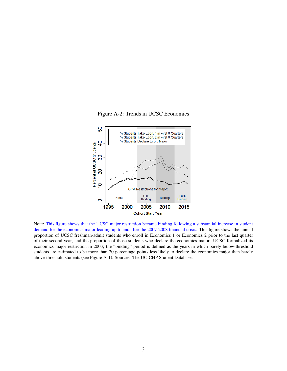Figure A-2: Trends in UCSC Economics



Note: This figure shows that the UCSC major restriction became binding following a substantial increase in student demand for the economics major leading up to and after the 2007-2008 financial crisis. This figure shows the annual proportion of UCSC freshman-admit students who enroll in Economics 1 or Economics 2 prior to the last quarter of their second year, and the proportion of those students who declare the economics major. UCSC formalized its economics major restriction in 2003; the "binding" period is defined as the years in which barely below-threshold students are estimated to be more than 20 percentage points less likely to declare the economics major than barely above-threshold students (see Figure [A-1\)](#page-1-0). Sources: The UC-CHP Student Database.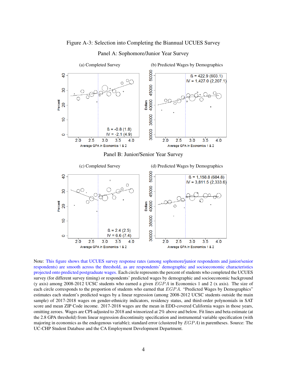## Figure A-3: Selection into Completing the Biannual UCUES Survey

<span id="page-3-0"></span>

Panel A: Sophomore/Junior Year Survey

Note: This figure shows that UCUES survey response rates (among sophomore/junior respondents and junior/senior respondents) are smooth across the threshold, as are respondents' demographic and socioeconomic characteristics projected onto predicted postgraduate wages. Each circle represents the percent of students who completed the UCUES survey (for different survey timing) or respondents' predicted wages by demographic and socioeconomic background (y axis) among 2008-2012 UCSC students who earned a given  $EGPA$  in Economics 1 and 2 (x axis). The size of each circle corresponds to the proportion of students who earned that EGPA. "Predicted Wages by Demographics" estimates each student's predicted wages by a linear regression (among 2008-2012 UCSC students outside the main sample) of 2017-2018 wages on gender-ethnicity indicators, residency status, and third-order polynomials in SAT score and mean ZIP Code income. 2017-2018 wages are the mean in EDD-covered California wages in those years, omitting zeroes. Wages are CPI-adjusted to 2018 and winsorized at 2% above and below. Fit lines and beta estimate (at the 2.8 GPA threshold) from linear regression discontinuity specification and instrumental variable specification (with majoring in economics as the endogenous variable); standard error (clustered by  $EGPA$ ) in parentheses. Source: The UC-CHP Student Database and the CA Employment Development Department.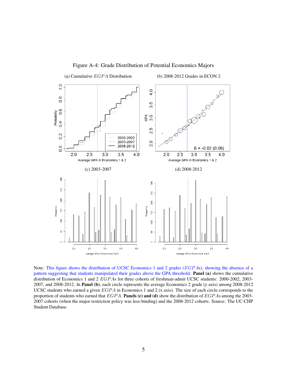

Figure A-4: Grade Distribution of Potential Economics Majors

Note: This figure shows the distribution of UCSC Economics 1 and 2 grades (EGPAs), showing the absence of a pattern suggesting that students manipulated their grades above the GPA threshold. Panel (a) shows the cumulative distribution of Economics 1 and 2 EGPAs for three cohorts of freshman-admit UCSC students: 2000-2002, 2003-2007, and 2008-2012. In **Panel (b)**, each circle represents the average Economics 2 grade (y axis) among 2008-2012 UCSC students who earned a given  $EGPA$  in Economics 1 and 2 (x axis). The size of each circle corresponds to the proportion of students who earned that  $EGPA$ . Panels (c) and (d) show the distribution of  $EGPA$ s among the 2003-2007 cohorts (when the major restriction policy was less-binding) and the 2008-2012 cohorts. Source: The UC-CHP Student Database.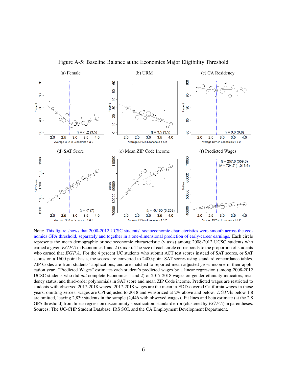

Figure A-5: Baseline Balance at the Economics Major Eligibility Threshold

Note: This figure shows that 2008-2012 UCSC students' socioeconomic characteristics were smooth across the economics GPA threshold, separately and together in a one-dimensional prediction of early-career earnings. Each circle represents the mean demographic or socioeconomic characteristic (y axis) among 2008-2012 UCSC students who earned a given  $EGPA$  in Economics 1 and 2 (x axis). The size of each circle corresponds to the proportion of students who earned that EGPA. For the 4 percent UC students who submit ACT test scores instead of SAT scores, or SAT scores on a 1600 point basis, the scores are converted to 2400-point SAT scores using standard concordance tables. ZIP Codes are from students' applications, and are matched to reported mean adjusted gross income in their application year. "Predicted Wages" estimates each student's predicted wages by a linear regression (among 2008-2012 UCSC students who did *not* complete Economics 1 and 2) of 2017-2018 wages on gender-ethnicity indicators, residency status, and third-order polynomials in SAT score and mean ZIP Code income. Predicted wages are restricted to students with observed 2017-2018 wages. 2017-2018 wages are the mean in EDD-covered California wages in those years, omitting zeroes; wages are CPI-adjusted to 2018 and winsorized at 2% above and below. EGP As below 1.8 are omitted, leaving 2,839 students in the sample (2,446 with observed wages). Fit lines and beta estimate (at the 2.8 GPA threshold) from linear regression discontinuity specification; standard error (clustered by  $EGPA$ ) in parentheses. Sources: The UC-CHP Student Database, IRS SOI, and the CA Employment Development Department.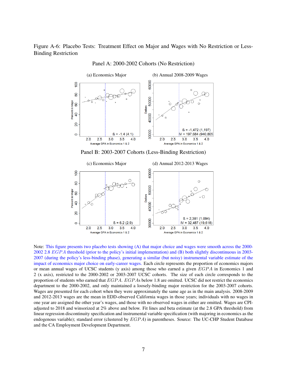Figure A-6: Placebo Tests: Treatment Effect on Major and Wages with No Restriction or Less-Binding Restriction



Panel A: 2000-2002 Cohorts (No Restriction)

Note: This figure presents two placebo tests showing (A) that major choice and wages were smooth across the 2000- 2002 2.8 EGP A threshold (prior to the policy's initial implementation) and (B) both slightly discontinuous in 2003- 2007 (during the policy's less-binding phase), generating a similar (but noisy) instrumental variable estimate of the impact of economics major choice on early-career wages. Each circle represents the proportion of economics majors or mean annual wages of UCSC students (y axis) among those who earned a given  $EGPA$  in Economics 1 and 2 (x axis), restricted to the 2000-2002 or 2003-2007 UCSC cohorts. The size of each circle corresponds to the proportion of students who earned that EGPA. EGPAs below 1.8 are omitted. UCSC did not restrict the economics department to the 2000-2002, and only maintained a loosely-binding major restriction for the 2003-2007 cohorts. Wages are presented for each cohort when they were approximately the same age as in the main analysis. 2008-2009 and 2012-2013 wages are the mean in EDD-observed California wages in those years; individuals with no wages in one year are assigned the other year's wages, and those with no observed wages in either are omitted. Wages are CPIadjusted to 2018 and winsorized at 2% above and below. Fit lines and beta estimate (at the 2.8 GPA threshold) from linear regression discontinuity specification and instrumental variable specification (with majoring in economics as the endogenous variable); standard error (clustered by EGPA) in parentheses. Source: The UC-CHP Student Database and the CA Employment Development Department.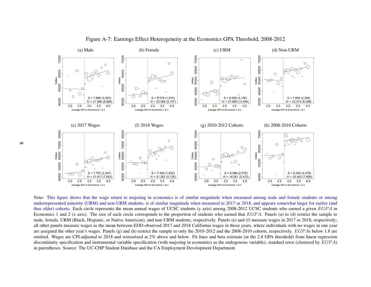

Figure A-7: Earnings Effect Heterogeneity at the Economics GPA Threshold, 2008-2012

Note: This figure shows that the wage return to majoring in economics is of similar magnitude when measured among male and female students or among underrepresented minority (URM) and non-URM students, is of similar magnitude when measured in 2017 or 2018, and appears somewhat larger for earlier (andthus older) cohorts. Each circle represents the mean annual wages of UCSC students (y axis) among 2008-2012 UCSC students who earned a given  $EGA$  in Economics 1 and 2 (x axis). The size of each circle corresponds to the proportion of students who earned that  $EGPA$ . Panels (a) to (d) restrict the sample to male, female, URM (Black, Hispanic, or Native American), and non-URM students, respectively. Panels (e) and (f) measure wages in 2017 or 2018, respectively; all other panels measure wages as the mean between EDD-observed 2017 and 2018 California wages in those years, where individuals with no wages in one yearare assigned the other year's wages. Panels (g) and (h) restrict the sample to only the 2010-2012 and the 2008-2010 cohorts, respectively. EGPAs below 1.8 are omitted. Wages are CPI-adjusted to 2018 and winsorized at 2% above and below. Fit lines and beta estimate (at the 2.8 GPA threshold) from linear regressiondiscontinuity specification and instrumental variable specification (with majoring in economics as the endogenous variable); standard error (clustered by  $EGPA$ ) in parentheses. Source: The UC-CHP Student Database and the CA Employment Development Department.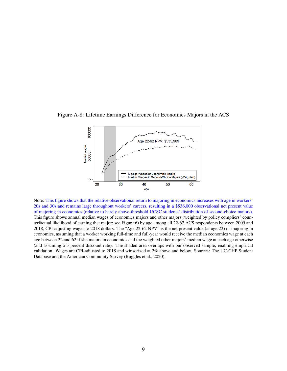



Note: This figure shows that the relative observational return to majoring in economics increases with age in workers' 20s and 30s and remains large throughout workers' careers, resulting in a \$536,000 observational net present value of majoring in economics (relative to barely above-threshold UCSC students' distribution of second-choice majors). This figure shows annual median wages of economics majors and other majors (weighted by policy compliers' counterfactual likelihood of earning that major; see Figure [6\)](#page--1-0) by age among all 22-62 ACS respondents between 2009 and 2018, CPI-adjusting wages to 2018 dollars. The "Age 22-62 NPV" is the net present value (at age 22) of majoring in economics, assuming that a worker working full-time and full-year would receive the median economics wage at each age between 22 and 62 if she majors in economics and the weighted other majors' median wage at each age otherwise (and assuming a 3 percent discount rate). The shaded area overlaps with our observed sample, enabling empirical validation. Wages are CPI-adjusted to 2018 and winsorized at 2% above and below. Sources: The UC-CHP Student Database and the American Community Survey [\(Ruggles et al.,](#page--1-1) [2020\)](#page--1-1).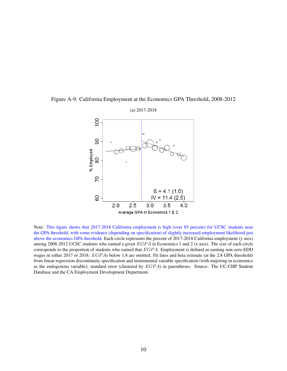

Figure A-9: California Employment at the Economics GPA Threshold, 2008-2012

Note: This figure shows that 2017-2018 California employment is high (over 85 percent) for UCSC students near the GPA threshold, with some evidence (depending on specification) of slightly increased employment likelihood just above the economics GPA threshold. Each circle represents the percent of 2017-2018 California employment (y axis) among 2008-2012 UCSC students who earned a given  $EGPA$  in Economics 1 and 2 (x axis). The size of each circle corresponds to the proportion of students who earned that EGPA. Employment is defined as earning non-zero EDD wages in either 2017 or 2018. EGPAs below 1.8 are omitted. Fit lines and beta estimate (at the 2.8 GPA threshold) from linear regression discontinuity specification and instrumental variable specification (with majoring in economics as the endogenous variable); standard error (clustered by EGPA) in parentheses. Source: The UC-CHP Student Database and the CA Employment Development Department.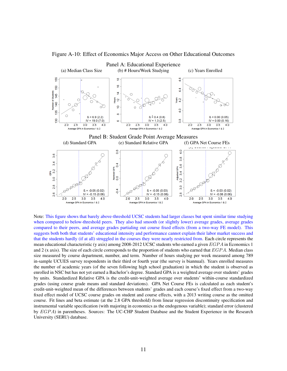

Figure A-10: Effect of Economics Major Access on Other Educational Outcomes

Note: This figure shows that barely above-threshold UCSC students had larger classes but spent similar time studying when compared to below-threshold peers. They also had smooth (or slightly lower) average grades, average grades compared to their peers, and average grades partialing out course fixed effects (from a two-way FE model). This suggests both both that students' educational intensity and performance cannot explain their labor market success and that the students hardly (if at all) struggled in the courses they were nearly restricted from. Each circle represents the mean educational characteristic (y axis) among 2008-2012 UCSC students who earned a given  $EGPA$  in Economics 1 and 2 (x axis). The size of each circle corresponds to the proportion of students who earned that  $EGPA$ . Median class size measured by course department, number, and term. Number of hours studying per week measured among 789 in-sample UCUES survey respondents in their third or fourth year (the survey is biannual). Years enrolled measures the number of academic years (of the seven following high school graduation) in which the student is observed as enrolled in NSC but has not yet earned a Bachelor's degree. Standard GPA is a weighted average over students' grades by units. Standardized Relative GPA is the credit-unit-weighted average over students' within-course standardized grades (using course grade means and standard deviations). GPA Net Course FEs is calculated as each student's credit-unit-weighted mean of the differences between students' grades and each course's fixed effect from a two-way fixed effect model of UCSC course grades on student and course effects, with a 2013 writing course as the omitted course. Fit lines and beta estimate (at the 2.8 GPA threshold) from linear regression discontinuity specification and instrumental variable specification (with majoring in economics as the endogenous variable); standard error (clustered by EGPA) in parentheses. Sources: The UC-CHP Student Database and the Student Experience in the Research University (SERU) database.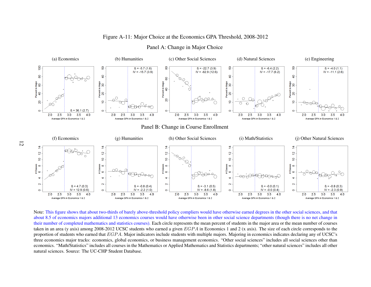## Figure A-11: Major Choice at the Economics GPA Threshold, 2008-2012



#### Panel A: Change in Major Choice

Note: This figure shows that about two-thirds of barely above-threshold policy compliers would have otherwise earned degrees in the other social sciences, and that about 8.5 of economics majors additional 13 economics courses would have otherwise been in other social science departments (though there is no net change in their number of completed mathematics and statistics courses). Each circle represents the mean percen<sup>t</sup> of students in the major area or the mean number of coursestaken in an area (y axis) among 2008-2012 UCSC students who earned a given  $EGPA$  in Economics 1 and 2 (x axis). The size of each circle corresponds to the proportion of students who earned that  $EGPA$ . Major indicators include students with multiple majors. Majoring in economics indicates declaring any of UCSC's three economics major tracks: economics, global economics, or business managemen<sup>t</sup> economics. "Other social sciences" includes all social sciences other than economics. "Math/Statistics" includes all courses in the Mathematics or Applied Mathematics and Statistics departments; "other natural sciences" includes all othernatural sciences. Source: The UC-CHP Student Database.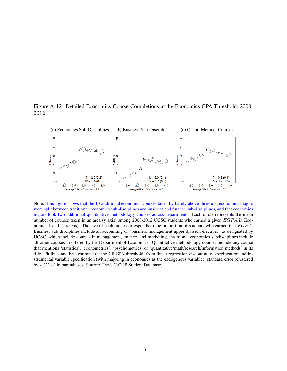



Note: This figure shows that the 13 additional economics courses taken by barely above-threshold economics majors were split between traditional economics sub-disciplines and business and finance sub-disciplines, and that economics majors took two additional quantitative methodology courses across departments. Each circle represents the mean number of courses taken in an area (y axis) among 2008-2012 UCSC students who earned a given EGPA in Economics 1 and 2 (x axis). The size of each circle corresponds to the proportion of students who earned that  $EGPA$ . Business sub-disciplines include all accounting or "business management upper division electives" as designated by UCSC, which include courses in management, finance, and marketing; traditional economics subdisciplines include all other courses in offered by the Department of Economics. Quantitative methodology courses include any course that mentions 'statistics', 'econometrics', 'psychometrics' or 'quantitative/math/research/information methods' in its title. Fit lines and beta estimate (at the 2.8 GPA threshold) from linear regression discontinuity specification and instrumental variable specification (with majoring in economics as the endogenous variable); standard error (clustered by EGPA) in parentheses. Source: The UC-CHP Student Database.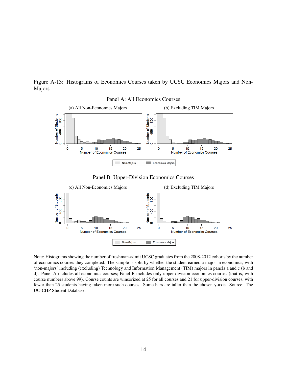Figure A-13: Histograms of Economics Courses taken by UCSC Economics Majors and Non-Majors





Note: Histograms showing the number of freshman-admit UCSC graduates from the 2008-2012 cohorts by the number of economics courses they completed. The sample is split by whether the student earned a major in economics, with 'non-majors' including (excluding) Technology and Information Management (TIM) majors in panels a and c (b and d). Panel A includes all economics courses; Panel B includes only upper-division economics courses (that is, with course numbers above 99). Course counts are winsorized at 25 for all courses and 21 for upper-division courses, with fewer than 25 students having taken more such courses. Some bars are taller than the chosen y-axis. Source: The UC-CHP Student Database.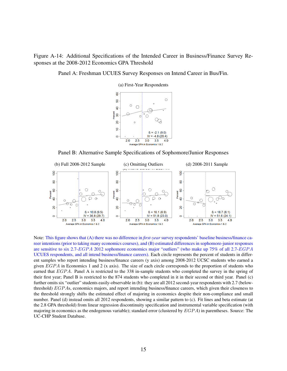<span id="page-14-0"></span>Figure A-14: Additional Specifications of the Intended Career in Business/Finance Survey Responses at the 2008-2012 Economics GPA Threshold

Panel A: Freshman UCUES Survey Responses on Intend Career in Bus/Fin.

8  $\bigcap$ င္စ  $\bigcap$  $\bigcirc$  $\overline{a}$ Percent  $\overline{8}$  $\bigcirc$  $\circ$  $Q_{\!\!Q}$  $\overline{a}$  $\circ$ ę  $B = -2.1(9.0)$  $IV = -4.8(20.4)$  $\circ$  $2.0$  $2.5$  $3.0$  $3.5\quad 4.0$ Average GPA in Econo  $nics 1 & 2$ 

(a) First-Year Respondents

Panel B: Alternative Sample Specifications of Sophomore/Junior Responses



Note: This figure shows that (A) there was no difference in *first-year* survey respondents' baseline business/finance career intentions (prior to taking many economics courses), and (B) estimated differences in sophomore-junior responses are sensitive to six 2.7-EGPA 2012 sophomore economics major "outliers" (who make up 75% of all 2.7-EGPA UCUES respondents, and all intend business/finance careers). Each circle represents the percent of students in different samples who report intending business/finance careers (y axis) among 2008-2012 UCSC students who earned a given  $EGPA$  in Economics 1 and 2 (x axis). The size of each circle corresponds to the proportion of students who earned that EGPA. Panel A is restricted to the 338 in-sample students who completed the survey in the spring of their first year; Panel B is restricted to the 874 students who completed in it in their second or third year. Panel (c) further omits six "outlier" students easily-observable in (b): they are all 2012 second-year respondents with 2.7 (belowthreshold) EGP As, economics majors, and report intending business/finance careers, which given their closeness to the threshold strongly shifts the estimated effect of majoring in economics despite their non-compliance and small number. Panel (d) instead omits all 2012 respondents, showing a similar pattern to (c). Fit lines and beta estimate (at the 2.8 GPA threshold) from linear regression discontinuity specification and instrumental variable specification (with majoring in economics as the endogenous variable); standard error (clustered by  $EGPA$ ) in parentheses. Source: The UC-CHP Student Database.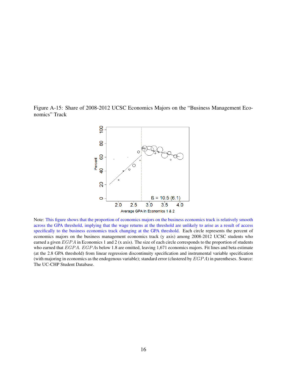Figure A-15: Share of 2008-2012 UCSC Economics Majors on the "Business Management Economics" Track



Note: This figure shows that the proportion of economics majors on the business economics track is relatively smooth across the GPA threshold, implying that the wage returns at the threshold are unlikely to arise as a result of access specifically to the business economics track changing at the GPA threshold. Each circle represents the percent of economics majors on the business management economics track (y axis) among 2008-2012 UCSC students who earned a given EGPA in Economics 1 and 2 (x axis). The size of each circle corresponds to the proportion of students who earned that EGPA. EGPAs below 1.8 are omitted, leaving 1,671 economics majors. Fit lines and beta estimate (at the 2.8 GPA threshold) from linear regression discontinuity specification and instrumental variable specification (with majoring in economics as the endogenous variable); standard error (clustered by  $EGPA$ ) in parentheses. Source: The UC-CHP Student Database.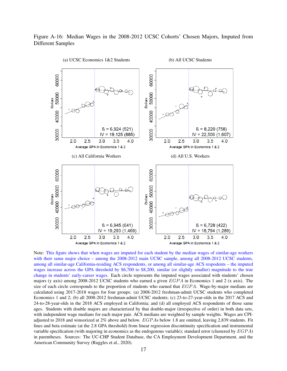# Figure A-16: Median Wages in the 2008-2012 UCSC Cohorts' Chosen Majors, Imputed from Different Samples

<span id="page-16-0"></span>

Note: This figure shows that when wages are imputed for each student by the median wages of similar-age workers with their same major choice – among the 2008-2012 main UCSC sample, among all 2008-2012 UCSC students, among all similar-age California-residing ACS respondents, or among all similar-age ACS respodents – the imputed wages increase across the GPA threshold by \$6,700 to \$8,200, similar (or slightly smaller) magnitude to the true change in students' early-career wages. Each circle represents the imputed wages associated with students' chosen majors (y axis) among 2008-2012 UCSC students who earned a given  $EGPA$  in Economics 1 and 2 (x axis). The size of each circle corresponds to the proportion of students who earned that  $EGPA$ . Wage-by-major medians are calculated using 2017-2018 wages for four groups: (a) 2008-2012 freshman-admit UCSC students who completed Economics 1 and 2; (b) all 2008-2012 freshman-admit UCSC students; (c) 23-to-27-year-olds in the 2017 ACS and 24-to-28-year-olds in the 2018 ACS employed in California; and (d) all employed ACS respondents of those same ages. Students with double majors are characterized by that double-major (irrespective of order) in both data sets, with independent wage medians for each major pair. ACS medians are weighted by sample weights. Wages are CPIadjusted to 2018 and winsorized at 2% above and below.  $EGPAs$  below 1.8 are omitted, leaving 2,839 students. Fit lines and beta estimate (at the 2.8 GPA threshold) from linear regression discontinuity specification and instrumental variable specification (with majoring in economics as the endogenous variable); standard error (clustered by EGP A) in parentheses. Sources: The UC-CHP Student Database, the CA Employment Development Department, and the American Community Survey [\(Ruggles et al.,](#page--1-1) [2020\)](#page--1-1).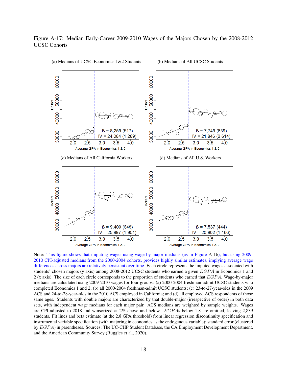## Figure A-17: Median Early-Career 2009-2010 Wages of the Majors Chosen by the 2008-2012 UCSC Cohorts



Note: This figure shows that imputing wages using wage-by-major medians (as in Figure [A-16\)](#page-16-0), but using 2009- 2010 CPI-adjusted medians from the 2000-2004 cohorts, provides highly similar estimates, implying average wage differences across majors are relatively persistent over time. Each circle represents the imputed wages associated with students' chosen majors (y axis) among 2008-2012 UCSC students who earned a given  $EGPA$  in Economics 1 and 2 (x axis). The size of each circle corresponds to the proportion of students who earned that  $EGPA$ . Wage-by-major medians are calculated using 2009-2010 wages for four groups: (a) 2000-2004 freshman-admit UCSC students who completed Economics 1 and 2; (b) all 2000-2004 freshman-admit UCSC students; (c) 23-to-27-year-olds in the 2009 ACS and 24-to-28-year-olds in the 2010 ACS employed in California; and (d) all employed ACS respondents of those same ages. Students with double majors are characterized by that double-major (irrespective of order) in both data sets, with independent wage medians for each major pair. ACS medians are weighted by sample weights. Wages are CPI-adjusted to 2018 and winsorized at 2% above and below. EGP As below 1.8 are omitted, leaving 2,839 students. Fit lines and beta estimate (at the 2.8 GPA threshold) from linear regression discontinuity specification and instrumental variable specification (with majoring in economics as the endogenous variable); standard error (clustered by EGP A) in parentheses. Sources: The UC-CHP Student Database, the CA Employment Development Department, and the American Community Survey [\(Ruggles et al.,](#page--1-1) [2020\)](#page--1-1).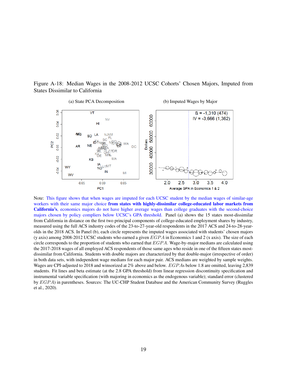Figure A-18: Median Wages in the 2008-2012 UCSC Cohorts' Chosen Majors, Imputed from States Dissimilar to California



Note: This figure shows that when wages are imputed for each UCSC student by the median wages of similar-age workers with their same major choice from states with highly-dissimilar college-educated labor markets from California's, economics majors do not have higher average wages than college graduates with the second-choice majors chosen by policy compliers below UCSC's GPA threshold. Panel (a) shows the 15 states most-dissimilar from California in distance on the first two principal components of college-educated employment shares by industry, measured using the full ACS industry codes of the 23-to-27-year-old respondents in the 2017 ACS and 24-to-28-yearolds in the 2018 ACS. In Panel (b), each circle represents the imputed wages associated with students' chosen majors (y axis) among 2008-2012 UCSC students who earned a given  $EGPA$  in Economics 1 and 2 (x axis). The size of each circle corresponds to the proportion of students who earned that  $EGPA$ . Wage-by-major medians are calculated using the 2017-2018 wages of all employed ACS respondents of those same ages who reside in one of the fifteen states mostdissimilar from California. Students with double majors are characterized by that double-major (irrespective of order) in both data sets, with independent wage medians for each major pair. ACS medians are weighted by sample weights. Wages are CPI-adjusted to 2018 and winsorized at 2% above and below. EGP As below 1.8 are omitted, leaving 2,839 students. Fit lines and beta estimate (at the 2.8 GPA threshold) from linear regression discontinuity specification and instrumental variable specification (with majoring in economics as the endogenous variable); standard error (clustered by EGP A) in parentheses. Sources: The UC-CHP Student Database and the American Community Survey [\(Ruggles](#page--1-1) [et al.,](#page--1-1) [2020\)](#page--1-1).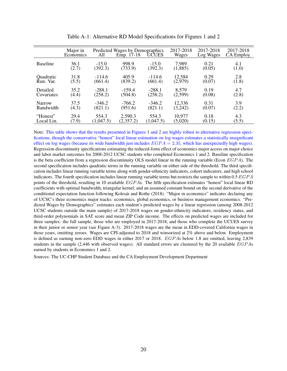|                  | Major in<br>Economics | All       | Predicted Wages by Demographics<br>Emp. 17-18 | UCUES     | 2017-2018<br>Wages | 2017-2018<br>Log Wages | 2017-2018<br>CA Employ. |
|------------------|-----------------------|-----------|-----------------------------------------------|-----------|--------------------|------------------------|-------------------------|
| <b>Baseline</b>  | 36.1                  | $-15.0$   | 998.9                                         | $-15.0$   | 7,989              | 0.21                   | 4.1                     |
|                  | (2.7)                 | (392.3)   | (733.9)                                       | (392.3)   | (1,885)            | (0.05)                 | (1.0)                   |
| Quadratic        | 31.8                  | $-114.6$  | 405.9                                         | $-114.6$  | 12,584             | 0.29                   | 2.8                     |
| Run. Var.        | (5.5)                 | (661.4)   | (839.2)                                       | (661.4)   | (2,979)            | (0.07)                 | (1.8)                   |
| Detailed         | 35.2                  | $-288.1$  | $-159.4$                                      | $-288.1$  | 8,579              | 0.19                   | 4.7                     |
| Covariates       | (4.4)                 | (258.2)   | (504.8)                                       | (258.2)   | (2,599)            | (0.08)                 | (2.8)                   |
| Narrow           | 37.5                  | $-346.2$  | $-766.2$                                      | $-346.2$  | 12,336             | 0.31                   | 3.9                     |
| <b>Bandwidth</b> | (4.3)                 | (821.1)   | (951.6)                                       | (821.1)   | (3, 242)           | (0.07)                 | (2.2)                   |
| "Honest"         | 29.4                  | 554.3     | 2,590.3                                       | 554.3     | 10,977             | 0.18                   | 4.3                     |
| Local Lin.       | (7.9)                 | (1,047.5) | (2,357.2)                                     | (1,047.5) | (5,020)            | (0.15)                 | (5.5)                   |

Table A-1: Alternative RD Model Specifications for Figures [1](#page--1-2) and [2](#page--1-0)

Note: This table shows that the results presented in Figures [1](#page--1-2) and [2](#page--1-0) are highly robust to alternative regression specifications, though the conservative "honest" local linear estimation on log wages estimates a statistically-insignificant effect on log wages (because its wide bandwidth just includes  $EGPA = 2.35$ , which has unexpectedly high wages). Regression discontinuity specifications estimating the reduced-form effect of economics major access on major choice and labor market outcomes for 2008-2012 UCSC students who completed Economics 1 and 2. Baseline specification is the beta coefficient from a regression discontinuity OLS model linear in the running variable (Econ  $EGPA$ ). The second specification includes quadratic terms in the running variable on either side of the threshold. The third specification includes linear running variable terms along with gender-ethnicity indicators, cohort indicators, and high school indicators. The fourth specification includes linear running variable terms but restricts the sample to within 0.5 EGPA points of the threshold, resulting in 10 available EGPAs. The fifth specification estimates "honest" local linear RD coefficients with optimal bandwidth, triangular kernel, and an assumed constant bound on the second derivative of the conditional expectation function following [Kolesár and Rothe](#page--1-3) [\(2018\)](#page--1-3). "Major in economics" indicates declaring any of UCSC's three economics major tracks: economics, global economics, or business management economics. "Predicted Wages by Demographics" estimates each student's predicted wages by a linear regression (among 2008-2012 UCSC students outside the main sample) of 2017-2018 wages on gender-ethnicity indicators, residency status, and third-order polynomials in SAT score and mean ZIP Code income. The effects on predicted wages are included for three samples: the full sample, those who are employed in 2017-2018, and those who complete the UCUES survey in their junior or senior year (see Figure [A-3\)](#page-3-0). 2017-2018 wages are the mean in EDD-covered California wages in those years, omitting zeroes. Wages are CPI-adjusted to 2018 and winsorized at 2% above and below. Employment is defined as earning non-zero EDD wages in either 2017 or 2018. EGPAs below 1.8 are omitted, leaving 2,839 students in the sample (2,446 with observed wages). All standard errors are clustered by the 20 available EGP As earned by students in Economics 1 and 2.

Sources: The UC-CHP Student Database and the CA Employment Development Department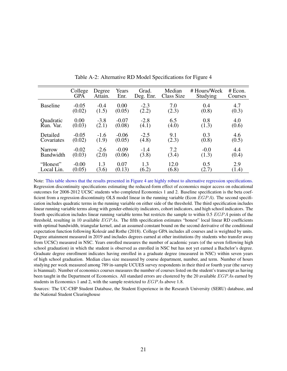|                 | College    | Degree  | Years   | Grad.     | Median     | # Hours/Week | #Econ.  |
|-----------------|------------|---------|---------|-----------|------------|--------------|---------|
|                 | <b>GPA</b> | Attain. | Enr.    | Deg. Enr. | Class Size | Studying     | Courses |
| <b>Baseline</b> | $-0.05$    | $-0.4$  | 0.00    | $-2.3$    | 7.0        | 0.4          | 4.7     |
|                 | (0.02)     | (1.5)   | (0.05)  | (2.2)     | (2.3)      | (0.8)        | (0.3)   |
| Quadratic       | 0.00       | $-3.8$  | $-0.07$ | $-2.8$    | 6.5        | 0.8          | 4.0     |
| Run. Var.       | (0.03)     | (2.1)   | (0.08)  | (4.1)     | (4.0)      | (1.3)        | (0.6)   |
| Detailed        | $-0.05$    | $-1.6$  | $-0.06$ | $-2.5$    | 9.1        | 0.3          | 4.6     |
| Covariates      | (0.02)     | (1.9)   | (0.05)  | (4.8)     | (2.3)      | (0.8)        | (0.5)   |
| <b>Narrow</b>   | $-0.02$    | $-2.6$  | $-0.09$ | $-1.4$    | 7.2        | $-0.0$       | 4.4     |
| Bandwidth       | (0.03)     | (2.0)   | (0.06)  | (3.8)     | (3.4)      | (1.3)        | (0.4)   |
| "Honest"        | $-0.00$    | 1.3     | 0.07    | 1.3       | 12.0       | 0.5          | 2.9     |
| Local Lin.      | (0.05)     | (3.6)   | (0.13)  | (6.2)     | (6.8)      | (2.7)        | (1.4)   |

Table A-2: Alternative RD Model Specifications for Figure 4

Note: This table shows that the results presented in Figure 4 are highly robust to alternative regression specifications. Regression discontinuity specifications estimating the reduced-form effect of economics major access on educational outcomes for 2008-2012 UCSC students who completed Economics 1 and 2. Baseline specification is the beta coefficient from a regression discontinuity OLS model linear in the running variable (Econ  $EGPA$ ). The second specification includes quadratic terms in the running variable on either side of the threshold. The third specification includes linear running variable terms along with gender-ethnicity indicators, cohort indicators, and high school indicators. The fourth specification includes linear running variable terms but restricts the sample to within  $0.5 EGPA$  points of the threshold, resulting in 10 available EGP As. The fifth specification estimates "honest" local linear RD coefficients with optimal bandwidth, triangular kernel, and an assumed constant bound on the second derivative of the conditional expectation function following [Kolesár and Rothe](#page--1-3) [\(2018\)](#page--1-3). College GPA includes all courses and is weighted by units. Degree attainment measured in 2019 and includes degrees earned at other institutions (by students who transfer away from UCSC) measured in NSC. Years enrolled measures the number of academic years (of the seven following high school graduation) in which the student is observed as enrolled in NSC but has not yet earned a Bachelor's degree. Graduate degree enrollment indicates having enrolled in a graduate degree (measured in NSC) within seven years of high school graduation. Median class size measured by course department, number, and term. Number of hours studying per week measured among 789 in-sample UCUES survey respondents in their third or fourth year (the survey is biannual). Number of economics courses measures the number of courses listed on the student's transcript as having been taught in the Department of Economics. All standard errors are clustered by the 20 available EGPAs earned by students in Economics 1 and 2, with the sample restricted to EGP As above 1.8.

Sources: The UC-CHP Student Database, the Student Experience in the Research University (SERU) database, and the National Student Clearinghouse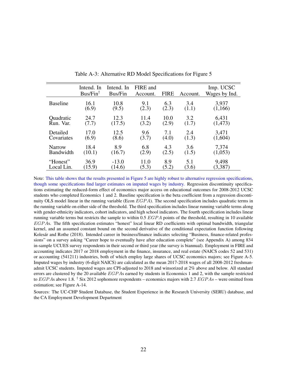|                 | Intend. In<br>$Bus/Fin^{\dagger}$ | Intend. In<br>Bus/Fin | FIRE and<br>Account. | <b>FIRE</b> | Account. | Imp. UCSC<br>Wages by Ind. |
|-----------------|-----------------------------------|-----------------------|----------------------|-------------|----------|----------------------------|
| <b>Baseline</b> | 16.1                              | 10.8                  | 9.1                  | 6.3         | 3.4      | 3,937                      |
|                 | (6.9)                             | (9.5)                 | (2.3)                | (2.3)       | (1.1)    | (1,166)                    |
| Quadratic       | 24.7                              | 12.3                  | 11.4                 | 10.0        | 3.2      | 6,431                      |
| Run. Var.       | (7.7)                             | (17.5)                | (3.2)                | (2.9)       | (1.7)    | (1, 473)                   |
| Detailed        | 17.0                              | 12.5                  | 9.6                  | 7.1         | 2.4      | 3,471                      |
| Covariates      | (6.9)                             | (8.6)                 | (3.7)                | (4.0)       | (1.3)    | (1,604)                    |
| <b>Narrow</b>   | 18.4                              | 8.9                   | 6.8                  | 4.3         | 3.6      | 7,374                      |
| Bandwidth       | (10.1)                            | (16.7)                | (2.9)                | (2.5)       | (1.5)    | (1,053)                    |
| "Honest"        | 36.9                              | $-13.0$               | 11.0                 | 8.9         | 5.1      | 9,498                      |
| Local Lin.      | (15.9)                            | (14.6)                | (5.3)                | (5.2)       | (3.6)    | (3,387)                    |

Table A-3: Alternative RD Model Specifications for Figure 5

Note: This table shows that the results presented in Figure 5 are highly robust to alternative regression specifications, though some specifications find larger estimates on imputed wages by industry. Regression discontinuity specifications estimating the reduced-form effect of economics major access on educational outcomes for 2008-2012 UCSC students who completed Economics 1 and 2. Baseline specification is the beta coefficient from a regression discontinuity OLS model linear in the running variable (Econ  $EGPA$ ). The second specification includes quadratic terms in the running variable on either side of the threshold. The third specification includes linear running variable terms along with gender-ethnicity indicators, cohort indicators, and high school indicators. The fourth specification includes linear running variable terms but restricts the sample to within 0.5  $EGPA$  points of the threshold, resulting in 10 available EGP As. The fifth specification estimates "honest" local linear RD coefficients with optimal bandwidth, triangular kernel, and an assumed constant bound on the second derivative of the conditional expectation function following [Kolesár and Rothe](#page--1-3) [\(2018\)](#page--1-3). Intended career in business/finance indicates selecting "Business, finance-related professions" on a survey asking "Career hope to eventually have after education complete" (see Appendix A) among 834 in-sample UCUES survey respondents in their second or third year (the survey is biannual). Employment in FIRE and accounting indicates 2017 or 2018 employment in the finance, insurance, and real estate (NAICS codes 52 and 531) or accounting (541211) industries, both of which employ large shares of UCSC economics majors; see Figure [A-5.](#page-23-0) Imputed wages by industry (6-digit NAICS) are calculated as the mean 2017-2018 wages of all 2008-2012 freshmanadmit UCSC students. Imputed wages are CPI-adjusted to 2018 and winsorized at 2% above and below. All standard errors are clustered by the 20 available  $EGPAs$  earned by students in Economics 1 and 2, with the sample restricted to  $EGPAs$  above 1.8. <sup>†</sup> Six 2012 sophomore respondents – economics majors with 2.7  $EGPAs$  – were omitted from estimation; see Figure [A-14.](#page-14-0)

Sources: The UC-CHP Student Database, the Student Experience in the Research University (SERU) database, and the CA Employment Development Department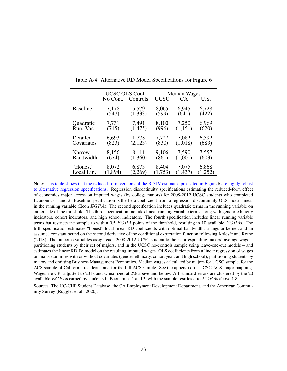|                 | UCSC OLS Coef. |          | Median Wages |                 |         |  |
|-----------------|----------------|----------|--------------|-----------------|---------|--|
|                 | No Cont.       | Controls | <b>UCSC</b>  | CA <sup>.</sup> | U.S.    |  |
| <b>Baseline</b> | 7,178          | 5,579    | 8,065        | 6,945           | 6,728   |  |
|                 | (547)          | (1, 333) | (599)        | (641)           | (422)   |  |
| Quadratic       | 7,731          | 7,491    | 8,100        | 7,250           | 6,969   |  |
| Run. Var.       | (715)          | (1, 475) | (996)        | (1,151)         | (620)   |  |
| Detailed        | 6,693          | 1,778    | 7,727        | 7,082           | 6,592   |  |
| Covariates      | (823)          | (2,123)  | (830)        | (1,018)         | (683)   |  |
| Narrow          | 8,156          | 8,111    | 9,106        | 7,590           | 7,557   |  |
| Bandwidth       | (674)          | (1,360)  | (861)        | (1,001)         | (603)   |  |
| "Honest"        | 8,072          | 6,873    | 8,404        | 7,075           | 6,868   |  |
| Local Lin.      | (1, 894)       | (2,269)  | (1,753)      | (1, 437)        | (1,252) |  |

Table A-4: Alternative RD Model Specifications for Figure [6](#page--1-0)

Note: This table shows that the reduced-form versions of the RD IV estimates presented in Figure [6](#page--1-0) are highly robust to alternative regression specifications. Regression discontinuity specifications estimating the reduced-form effect of economics major access on imputed wages (by college majors) for 2008-2012 UCSC students who completed Economics 1 and 2. Baseline specification is the beta coefficient from a regression discontinuity OLS model linear in the running variable (Econ  $EGPA$ ). The second specification includes quadratic terms in the running variable on either side of the threshold. The third specification includes linear running variable terms along with gender-ethnicity indicators, cohort indicators, and high school indicators. The fourth specification includes linear running variable terms but restricts the sample to within 0.5  $EGPA$  points of the threshold, resulting in 10 available  $EGPAs$ . The fifth specification estimates "honest" local linear RD coefficients with optimal bandwidth, triangular kernel, and an assumed constant bound on the second derivative of the conditional expectation function following [Kolesár and Rothe](#page--1-3) [\(2018\)](#page--1-3). The outcome variables assign each 2008-2012 UCSC student to their corresponding majors' average wage – partitioning students by their set of majors, and in the UCSC no-controls sample using leave-one-out models – and estimates the linear RD IV model on the resulting imputed wages. OLS coefficients from a linear regression of wages on major dummies with or without covariates (gender-ethnicity, cohort year, and high school), partitioning students by majors and omitting Business Management Economics. Median wages calculated by majors for UCSC sample, for the ACS sample of California residents, and for the full ACS sample. See the appendix for UCSC-ACS major mapping. Wages are CPI-adjusted to 2018 and winsorized at 2% above and below. All standard errors are clustered by the 20 available EGP As earned by students in Economics 1 and 2, with the sample restricted to EGP As above 1.8.

Sources: The UC-CHP Student Database, the CA Employment Development Department, and the American Community Survey [\(Ruggles et al.,](#page--1-1) [2020\)](#page--1-1).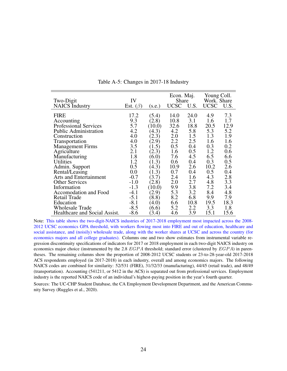<span id="page-23-0"></span>

|                               |                |        | Econ. Maj.  |      | Young Coll. |         |
|-------------------------------|----------------|--------|-------------|------|-------------|---------|
| Two-Digit                     | IV             |        | Share       |      | Work. Share |         |
| <b>NAICS</b> Industry         | Est. $(\beta)$ | (s.e.) | <b>UCSC</b> | U.S. | <b>UCSC</b> | U.S.    |
|                               |                |        |             |      |             |         |
| <b>FIRE</b>                   | 17.2           | (5.4)  | 14.0        | 24.0 | 4.9         | 7.3     |
| Accounting                    | 9.3            | (2.8)  | 10.8        | 3.1  | 1.6         | 1.7     |
| Professional Services         | 5.7            | (10.0) | 32.6        | 18.8 | 20.5        | 12.9    |
| <b>Public Administration</b>  | 4.2            | (4.3)  | 4.2         | 5.8  | 5.3         | 5.2     |
| Construction                  | 4.0            | (2.3)  | 2.0         | 1.5  | 1.3         | 1.9     |
| Transportation                | 4.0            | (2.9)  | 2.2         | 2.5  | 1.6         | 1.6     |
| Management Firms              | 3.5            | (1.5)  | 0.5         | 0.4  | 0.3         | 0.2     |
| Agriculture                   | 2.1            | (2.3)  | 1.6         | 0.5  | 1.2         | 0.6     |
| Manufacturing                 | 1.8            | (6.0)  | 7.6         | 4.5  | 6.5         | 6.6     |
| <b>Utilities</b>              | 1.2            | (1.3)  | 0.6         | 0.4  | 0.3         | 0.5     |
| Admin. Support                | 0.5            | (4.3)  | 10.9        | 2.6  | 10.2        | 2.6     |
| Rental/Leasing                | 0.0            | (1.3)  | 0.7         | 0.4  | 0.5         | 0.4     |
| <b>Arts and Entertainment</b> | $-0.7$         | (3.7)  | 2.4         | 1.6  | 4.3         | $2.8\,$ |
| <b>Other Services</b>         | $-1.0$         | (2.8)  | 2.0         | 2.7  | 4.8         | 3.3     |
| Information                   | $-1.3$         | (10.0) | 9.9         | 3.8  | 7.2         | 3.4     |
| Accomodation and Food         | $-4.1$         | (2.9)  | 5.3         | 3.2  | 8.4         | 4.8     |
| <b>Retail Trade</b>           | $-5.1$         | (8.8)  | 8.2         | 6.8  | 9.9         | 7.9     |
| Education                     | $-8.1$         | (4.0)  | 6.6         | 10.8 | 19.5        | 18.3    |
| <b>Wholesale Trade</b>        | $-8.5$         | (6.6)  | 5.2         | 2.2  | 3.3         | 1.8     |
| Healthcare and Social Assist. | $-8.6$         | (3.4)  | 4.6         | 3.9  | 15.1        | 15.6    |

Table A-5: Changes in 2017-18 Industry

Note: This table shows the two-digit-NAICS industries of 2017-2018 employment most impacted across the 2008- 2012 UCSC economics GPA threshold, with workers flowing most into FIRE and out of education, healthcare and social assistance, and (noisily) wholesale trade, along with the worker shares at UCSC and across the country (for economics majors and all college graduates). Columns one and two show estimates from instrumental variable regression discontinuity specifications of indicators for 2017 or 2018 employment in each two-digit NAICS industry on economics major choice (instrumented by the 2.8  $EGPA$  threshold; standard error (clustered by  $EGPA$ ) in parentheses. The remaining columns show the proportion of 2008-2012 UCSC students or 23-to-28-year-old 2017-2018 ACS respondents employed (in 2017-2018) in each industry, overall and among economics majors. The following NAICS codes are combined for similarity: 52/531 (FIRE), 31/32/33 (manufacturing), 44/45 (retail trade), and 48/49 (transportation). Accounting (541211, or 5412 in the ACS) is separated out from professional services. Employment industry is the reported NAICS code of an individual's highest-paying position in the year's fourth quarter.

Sources: The UC-CHP Student Database, the CA Employment Development Department, and the American Community Survey [\(Ruggles et al.,](#page--1-1) [2020\)](#page--1-1).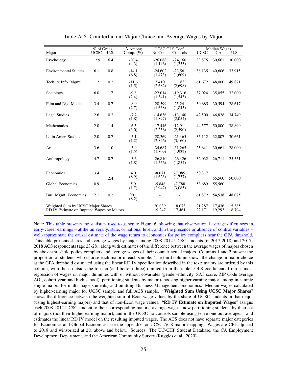| Major                                                                          | % of Grads<br><b>UCSC</b> | U.S.             | $\Delta$ Among<br>Comp. $(\% )$ | UCSC OLS Coef.<br>No Cont. | Controls              | <b>UCSC</b>      | <b>Median Wages</b><br><b>CA</b> | U.S.   |
|--------------------------------------------------------------------------------|---------------------------|------------------|---------------------------------|----------------------------|-----------------------|------------------|----------------------------------|--------|
| Psychology                                                                     | 12.9                      | 6.4              | $-20.4$<br>(4.3)                | $-26.088$<br>(1,146)       | $-24.160$<br>(1, 253) | 33,875           | 30,661                           | 30,000 |
| <b>Environmental Studies</b>                                                   | 6.1                       | 0.8              | $-14.1$<br>(6.8)                | $-24.602$<br>(1, 473)      | $-23.561$<br>(1,609)  | 38,135           | 40,606                           | 33,915 |
| Tech. & Info. Mgmt.                                                            | 1.2                       | 0.2              | $-11.6$<br>(1.5)                | 3.410<br>(2,682)           | 1.183<br>(2,698)      | 61,672           | 48,000                           | 49,871 |
| Sociology                                                                      | 6.0                       | 1.7              | $-9.8$<br>(2.4)                 | $-22.014$<br>(1,341)       | $-19.316$<br>(1, 543) | 37,024           | 35,055                           | 32,000 |
| Film and Dig. Media                                                            | 3.4                       | 0.7              | $-8.0$<br>(2.7)                 | $-28,599$<br>(1,638)       | $-25.241$<br>(1,845)  | 30,685           | 30,594                           | 28,617 |
| <b>Legal Studies</b>                                                           | 2.6                       | 0.2              | $-7.7$<br>(1.8)                 | $-14.636$<br>(1,897)       | $-13.140$<br>(2,054)  | 42,500           | 46,828                           | 34,749 |
| Mathematics                                                                    | 2.0                       | 1.4              | $-6.5$<br>(3.0)                 | $-17,446$<br>(2,256)       | $-12.911$<br>(2,590)  | 44,577           | 50,000                           | 38,899 |
| Latin Amer. Studies                                                            | 2.0                       | 0.7              | $-5.1$<br>(1.2)                 | $-28,369$<br>(2,846)       | $-21.465$<br>(3,160)  | 35,112           | 32,007                           | 30,661 |
| Art                                                                            | 3.6                       | 1.0              | $-3.9$<br>(1.5)                 | $-34.687$<br>(1,809)       | $-31,265$<br>(1,932)  | 25,641           | 30,661                           | 28,000 |
| Anthropology<br>.                                                              | 4.7                       | 0.7              | $-3.6$<br>(1.8)                 | $-26,810$<br>(1,556)       | $-26,426$<br>(1,854)  | 32,032           | 26,711                           | 25,551 |
| Economics                                                                      | 3.4                       | 2.4              | 4.0<br>(8.9)                    | $-8.071$<br>(1,623)        | $-7.085$<br>(1,737)   | 50.317           | 55,560                           | 50,000 |
| <b>Global Economics</b>                                                        | 0.9                       |                  | 5.9<br>(1.7)                    | $-5.848$<br>(2,947)        | $-7.788$<br>(3,085)   | 53.689           | 55,560                           |        |
| Bus. Mgmt. Economics                                                           | 7.1                       | 0.2              | 90.1<br>(8.2)                   |                            |                       | 61,872           | 54,538                           | 48,025 |
| Weighted Sum by UCSC Major Shares<br>RD IV Estimate on Imputed Wages by Majors |                           | 20.039<br>19,247 | 18.073<br>17,461                | 21,287<br>22,171           | 17.436<br>19,293      | 15,385<br>18,794 |                                  |        |

Table A-6: Counterfactual Major Choice and Average Wages by Major

Note: This table presents the statistics used to generate Figure [6,](#page--1-0) showing that observational average differences in early-career earnings – at the university, state, or national level, and in the presence or absence of control variables – well-approximate the causal estimate of the wage return to economics for policy compliers near the GPA threshold. This table presents shares and average wages by major among 2008-2012 UCSC students (in 2017-2018) and 2017- 2018 ACS respondents (age 23-28), along with estimates of the difference between the average wages of majors chosen by above-threshold policy compliers and average wages of their counterfactual majors. Columns 1 and 2 present the proportion of students who choose each major in each sample. The third column shows the change in major choice at the GPA threshold estimated using the linear RD IV specification described in the text; majors are ordered by this column, with those outside the top ten (and bottom three) omitted from the table. OLS coefficients from a linear regression of wages on major dummies with or without covariates (gender-ethnicity, SAT score, ZIP Code average AGI, cohort year, and high school), partitioning students by major (choosing higher-earning major among in-sample single majors for multi-major students) and omitting Business Management Economics. Median wages calculated by higher-earning major for UCSC sample and full ACS sample. "Weighted Sum Using UCSC Major Shares" shows the difference between the weighted sum of Econ wage values by the share of UCSC students in that major (using highest-earning majors) and that of non-Econ wage values. "RD IV Estimate on Imputed Wages" assigns each 2008-2012 UCSC student to their corresponding majors' average wage – now partitioning students by their set of majors (not their higher-earning major), and in the UCSC no-controls sample using leave-one-out averages – and estimates the linear RD IV model on the resulting imputed wages. The ACS does not have separate major categories for Economics and Global Economics; see the appendix for UCSC-ACS major mapping. Wages are CPI-adjusted to 2018 and winsorized at 2% above and below. Sources: The UC-CHP Student Database, the CA Employment Development Department, and the American Community Survey [\(Ruggles et al.,](#page--1-1) [2020\)](#page--1-1).